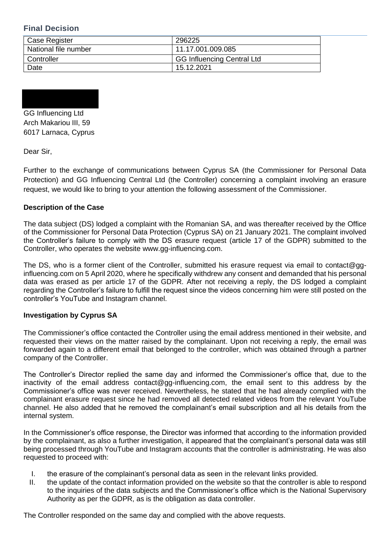## **Final Decision**

| Case Register        | 296225                            |
|----------------------|-----------------------------------|
| National file number | 11.17.001.009.085                 |
| Controller           | <b>GG Influencing Central Ltd</b> |
| Date                 | 15.12.2021                        |

GG Influencing Ltd Arch Makariou III, 59 6017 Larnaca, Cyprus

Dear Sir,

Further to the exchange of communications between Cyprus SA (the Commissioner for Personal Data Protection) and GG Influencing Central Ltd (the Controller) concerning a complaint involving an erasure request, we would like to bring to your attention the following assessment of the Commissioner.

## **Description of the Case**

The data subject (DS) lodged a complaint with the Romanian SA, and was thereafter received by the Office of the Commissioner for Personal Data Protection (Cyprus SA) on 21 January 2021. The complaint involved the Controller's failure to comply with the DS erasure request (article 17 of the GDPR) submitted to the Controller, who operates the website www.gg-influencing.com.

The DS, who is a former client of the Controller, submitted his erasure request via email to contact@gginfluencing.com on 5 April 2020, where he specifically withdrew any consent and demanded that his personal data was erased as per article 17 of the GDPR. After not receiving a reply, the DS lodged a complaint regarding the Controller's failure to fulfill the request since the videos concerning him were still posted on the controller's YouTube and Instagram channel.

## **Investigation by Cyprus SA**

The Commissioner's office contacted the Controller using the email address mentioned in their website, and requested their views on the matter raised by the complainant. Upon not receiving a reply, the email was forwarded again to a different email that belonged to the controller, which was obtained through a partner company of the Controller.

The Controller's Director replied the same day and informed the Commissioner's office that, due to the inactivity of the email address contact@gg-influencing.com, the email sent to this address by the Commissioner's office was never received. Nevertheless, he stated that he had already complied with the complainant erasure request since he had removed all detected related videos from the relevant YouTube channel. He also added that he removed the complainant's email subscription and all his details from the internal system.

In the Commissioner's office response, the Director was informed that according to the information provided by the complainant, as also a further investigation, it appeared that the complainant's personal data was still being processed through YouTube and Instagram accounts that the controller is administrating. He was also requested to proceed with:

- I. the erasure of the complainant's personal data as seen in the relevant links provided.
- II. the update of the contact information provided on the website so that the controller is able to respond to the inquiries of the data subjects and the Commissioner's office which is the National Supervisory Authority as per the GDPR, as is the obligation as data controller.

The Controller responded on the same day and complied with the above requests.